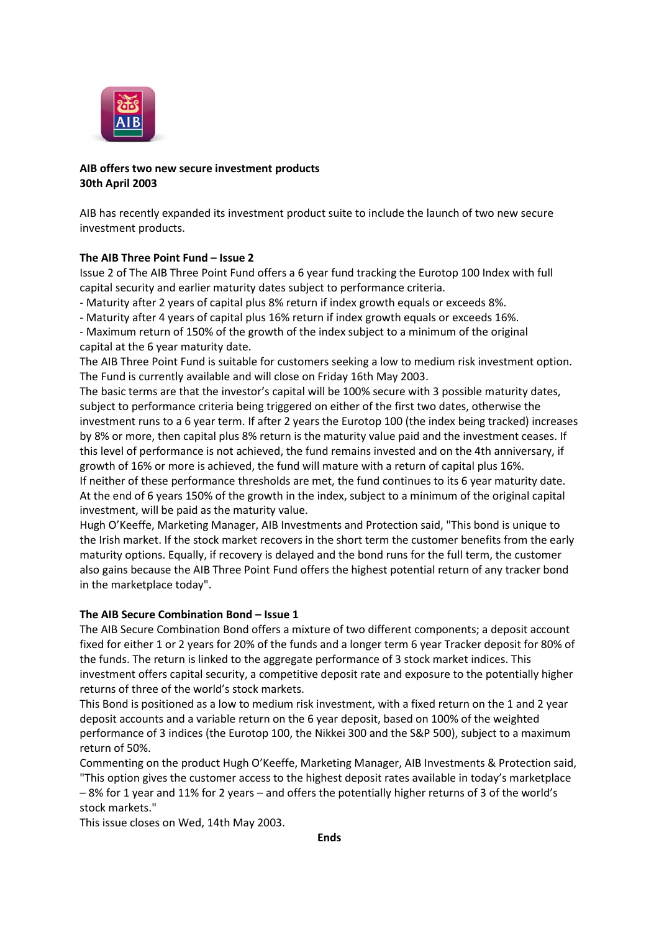

## **AIB offers two new secure investment products 30th April 2003**

AIB has recently expanded its investment product suite to include the launch of two new secure investment products.

## **The AIB Three Point Fund – Issue 2**

Issue 2 of The AIB Three Point Fund offers a 6 year fund tracking the Eurotop 100 Index with full capital security and earlier maturity dates subject to performance criteria.

- Maturity after 2 years of capital plus 8% return if index growth equals or exceeds 8%.

- Maturity after 4 years of capital plus 16% return if index growth equals or exceeds 16%.

- Maximum return of 150% of the growth of the index subject to a minimum of the original capital at the 6 year maturity date.

The AIB Three Point Fund is suitable for customers seeking a low to medium risk investment option. The Fund is currently available and will close on Friday 16th May 2003.

The basic terms are that the investor's capital will be 100% secure with 3 possible maturity dates, subject to performance criteria being triggered on either of the first two dates, otherwise the investment runs to a 6 year term. If after 2 years the Eurotop 100 (the index being tracked) increases by 8% or more, then capital plus 8% return is the maturity value paid and the investment ceases. If this level of performance is not achieved, the fund remains invested and on the 4th anniversary, if growth of 16% or more is achieved, the fund will mature with a return of capital plus 16%. If neither of these performance thresholds are met, the fund continues to its 6 year maturity date. At the end of 6 years 150% of the growth in the index, subject to a minimum of the original capital investment, will be paid as the maturity value.

Hugh O'Keeffe, Marketing Manager, AIB Investments and Protection said, "This bond is unique to the Irish market. If the stock market recovers in the short term the customer benefits from the early maturity options. Equally, if recovery is delayed and the bond runs for the full term, the customer also gains because the AIB Three Point Fund offers the highest potential return of any tracker bond in the marketplace today".

## **The AIB Secure Combination Bond – Issue 1**

The AIB Secure Combination Bond offers a mixture of two different components; a deposit account fixed for either 1 or 2 years for 20% of the funds and a longer term 6 year Tracker deposit for 80% of the funds. The return is linked to the aggregate performance of 3 stock market indices. This investment offers capital security, a competitive deposit rate and exposure to the potentially higher returns of three of the world's stock markets.

This Bond is positioned as a low to medium risk investment, with a fixed return on the 1 and 2 year deposit accounts and a variable return on the 6 year deposit, based on 100% of the weighted performance of 3 indices (the Eurotop 100, the Nikkei 300 and the S&P 500), subject to a maximum return of 50%.

Commenting on the product Hugh O'Keeffe, Marketing Manager, AIB Investments & Protection said, "This option gives the customer access to the highest deposit rates available in today's marketplace – 8% for 1 year and 11% for 2 years – and offers the potentially higher returns of 3 of the world's stock markets."

This issue closes on Wed, 14th May 2003.